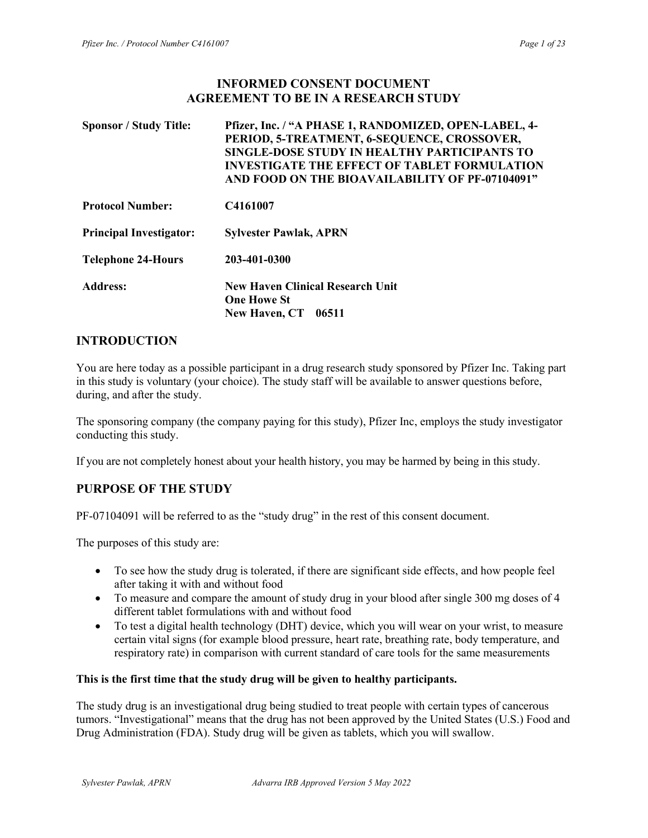### INFORMED CONSENT DOCUMENT AGREEMENT TO BE IN A RESEARCH STUDY

| <b>Sponsor / Study Title:</b>  | Pfizer, Inc. / "A PHASE 1, RANDOMIZED, OPEN-LABEL, 4-<br>PERIOD, 5-TREATMENT, 6-SEQUENCE, CROSSOVER,<br>SINGLE-DOSE STUDY IN HEALTHY PARTICIPANTS TO<br><b>INVESTIGATE THE EFFECT OF TABLET FORMULATION</b><br>AND FOOD ON THE BIOAVAILABILITY OF PF-07104091" |
|--------------------------------|----------------------------------------------------------------------------------------------------------------------------------------------------------------------------------------------------------------------------------------------------------------|
| <b>Protocol Number:</b>        | C4161007                                                                                                                                                                                                                                                       |
| <b>Principal Investigator:</b> | <b>Sylvester Pawlak, APRN</b>                                                                                                                                                                                                                                  |
| <b>Telephone 24-Hours</b>      | 203-401-0300                                                                                                                                                                                                                                                   |
| <b>Address:</b>                | <b>New Haven Clinical Research Unit</b><br><b>One Howe St</b><br><b>New Haven, CT</b><br>06511                                                                                                                                                                 |

# INTRODUCTION

You are here today as a possible participant in a drug research study sponsored by Pfizer Inc. Taking part in this study is voluntary (your choice). The study staff will be available to answer questions before, during, and after the study.

The sponsoring company (the company paying for this study), Pfizer Inc, employs the study investigator conducting this study.

If you are not completely honest about your health history, you may be harmed by being in this study.

# PURPOSE OF THE STUDY

PF-07104091 will be referred to as the "study drug" in the rest of this consent document.

The purposes of this study are:

- To see how the study drug is tolerated, if there are significant side effects, and how people feel after taking it with and without food
- To measure and compare the amount of study drug in your blood after single 300 mg doses of 4 different tablet formulations with and without food
- To test a digital health technology (DHT) device, which you will wear on your wrist, to measure certain vital signs (for example blood pressure, heart rate, breathing rate, body temperature, and respiratory rate) in comparison with current standard of care tools for the same measurements

### This is the first time that the study drug will be given to healthy participants.

The study drug is an investigational drug being studied to treat people with certain types of cancerous tumors. "Investigational" means that the drug has not been approved by the United States (U.S.) Food and Drug Administration (FDA). Study drug will be given as tablets, which you will swallow.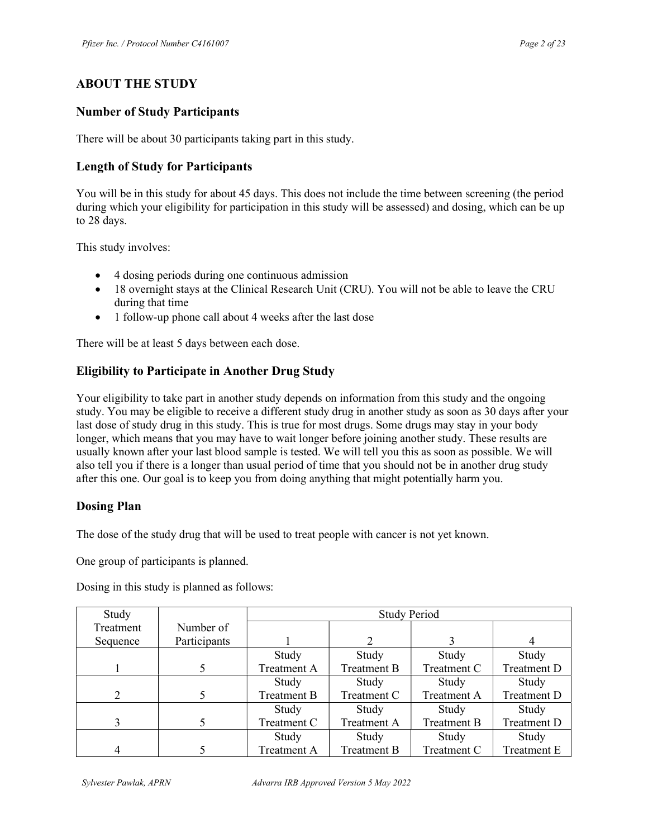# ABOUT THE STUDY

# Number of Study Participants

There will be about 30 participants taking part in this study.

# Length of Study for Participants

You will be in this study for about 45 days. This does not include the time between screening (the period during which your eligibility for participation in this study will be assessed) and dosing, which can be up to 28 days.

This study involves:

- 4 dosing periods during one continuous admission
- 18 overnight stays at the Clinical Research Unit (CRU). You will not be able to leave the CRU during that time
- 1 follow-up phone call about 4 weeks after the last dose

There will be at least 5 days between each dose.

# Eligibility to Participate in Another Drug Study

Your eligibility to take part in another study depends on information from this study and the ongoing study. You may be eligible to receive a different study drug in another study as soon as 30 days after your last dose of study drug in this study. This is true for most drugs. Some drugs may stay in your body longer, which means that you may have to wait longer before joining another study. These results are usually known after your last blood sample is tested. We will tell you this as soon as possible. We will also tell you if there is a longer than usual period of time that you should not be in another drug study after this one. Our goal is to keep you from doing anything that might potentially harm you.

## Dosing Plan

The dose of the study drug that will be used to treat people with cancer is not yet known.

One group of participants is planned.

Dosing in this study is planned as follows:

| Study     |              | <b>Study Period</b> |             |                    |             |
|-----------|--------------|---------------------|-------------|--------------------|-------------|
| Treatment | Number of    |                     |             |                    |             |
| Sequence  | Participants |                     |             |                    |             |
|           |              | Study               | Study       | Study              | Study       |
|           |              | Treatment A         | Treatment B | Treatment C        | Treatment D |
|           |              | Study               | Study       | Study              | Study       |
| 2         |              | Treatment B         | Treatment C | <b>Treatment A</b> | Treatment D |
|           |              | Study               | Study       | Study              | Study       |
| 3         |              | Treatment C         | Treatment A | Treatment B        | Treatment D |
|           |              | Study               | Study       | Study              | Study       |
|           |              | Treatment A         | Treatment B | Treatment C        | Treatment E |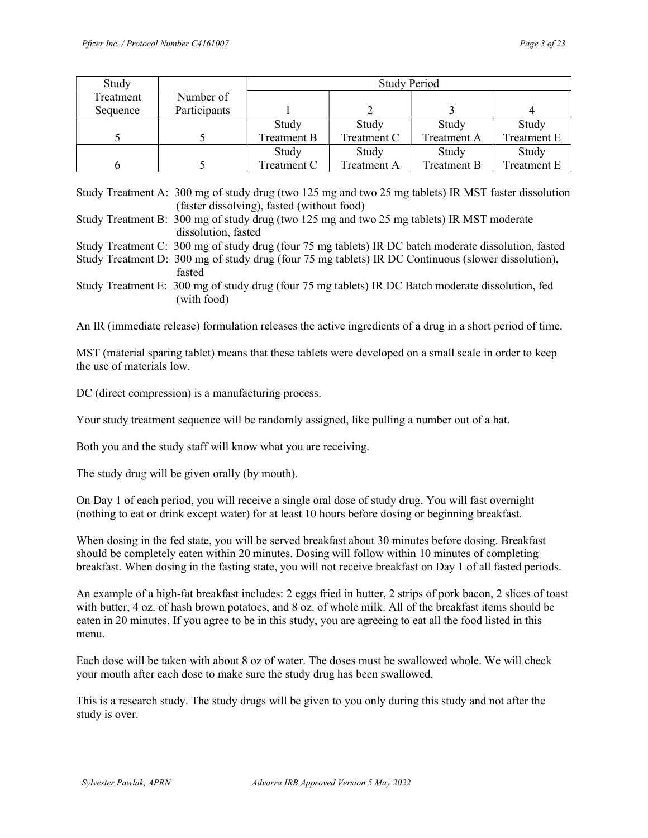| Study     |              | <b>Study Period</b> |             |             |             |
|-----------|--------------|---------------------|-------------|-------------|-------------|
| Treatment | Number of    |                     |             |             |             |
| Sequence  | Participants |                     |             |             |             |
|           |              | Study               | Study       | Study       | Study       |
|           |              | Treatment B         | Treatment C | Treatment A | Treatment E |
|           |              | Study               | Study       | Study       | Study       |
|           |              | Treatment C         | Treatment A | Treatment B | Treatment E |

Study Treatment A: 300 mg of study drug (two 125 mg and two 25 mg tablets) IR MST faster dissolution (faster dissolving), fasted (without food)

Study Treatment B: 300 mg of study drug (two 125 mg and two 25 mg tablets) IR MST moderate dissolution, fasted

Study Treatment C: 300 mg of study drug (four 75 mg tablets) IR DC batch moderate dissolution, fasted

Study Treatment D: 300 mg of study drug (four 75 mg tablets) IR DC Continuous (slower dissolution), fasted

Study Treatment E: 300 mg of study drug (four 75 mg tablets) IR DC Batch moderate dissolution, fed (with food)

An IR (immediate release) formulation releases the active ingredients of a drug in a short period of time.

MST (material sparing tablet) means that these tablets were developed on a small scale in order to keep the use of materials low.

DC (direct compression) is a manufacturing process.

Your study treatment sequence will be randomly assigned, like pulling a number out of a hat.

Both you and the study staff will know what you are receiving.

The study drug will be given orally (by mouth).

On Day 1 of each period, you will receive a single oral dose of study drug. You will fast overnight (nothing to eat or drink except water) for at least 10 hours before dosing or beginning breakfast.

When dosing in the fed state, you will be served breakfast about 30 minutes before dosing. Breakfast should be completely eaten within 20 minutes. Dosing will follow within 10 minutes of completing breakfast. When dosing in the fasting state, you will not receive breakfast on Day 1 of all fasted periods.

An example of a high-fat breakfast includes: 2 eggs fried in butter, 2 strips of pork bacon, 2 slices of toast with butter, 4 oz. of hash brown potatoes, and 8 oz. of whole milk. All of the breakfast items should be eaten in 20 minutes. If you agree to be in this study, you are agreeing to eat all the food listed in this menu.

Each dose will be taken with about 8 oz of water. The doses must be swallowed whole. We will check your mouth after each dose to make sure the study drug has been swallowed.

This is a research study. The study drugs will be given to you only during this study and not after the study is over.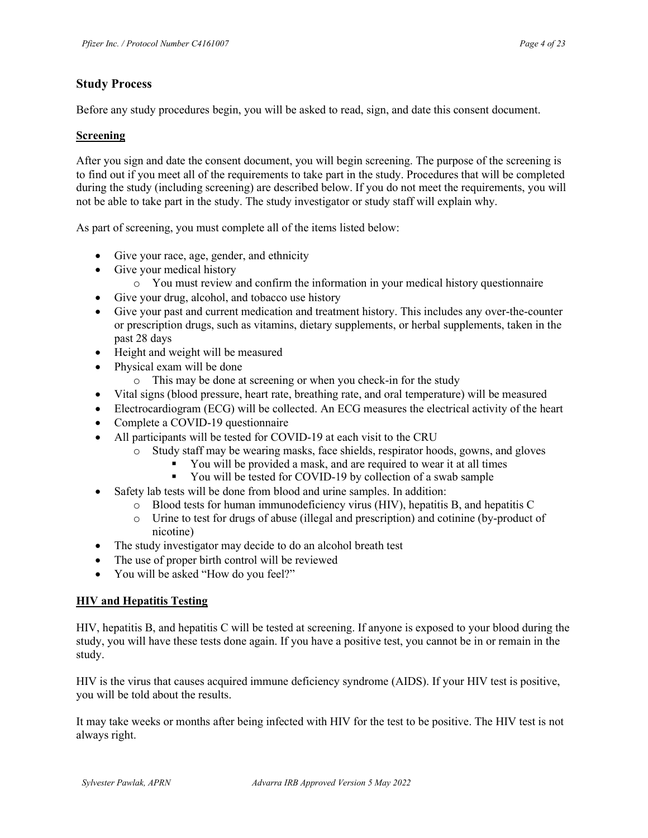## Study Process

Before any study procedures begin, you will be asked to read, sign, and date this consent document.

#### Screening

After you sign and date the consent document, you will begin screening. The purpose of the screening is to find out if you meet all of the requirements to take part in the study. Procedures that will be completed during the study (including screening) are described below. If you do not meet the requirements, you will not be able to take part in the study. The study investigator or study staff will explain why.

As part of screening, you must complete all of the items listed below:

- Give your race, age, gender, and ethnicity
- Give your medical history
	- o You must review and confirm the information in your medical history questionnaire
- Give your drug, alcohol, and tobacco use history
- Give your past and current medication and treatment history. This includes any over-the-counter or prescription drugs, such as vitamins, dietary supplements, or herbal supplements, taken in the past 28 days
- Height and weight will be measured
- Physical exam will be done
	- o This may be done at screening or when you check-in for the study
- Vital signs (blood pressure, heart rate, breathing rate, and oral temperature) will be measured
- Electrocardiogram (ECG) will be collected. An ECG measures the electrical activity of the heart
- Complete a COVID-19 questionnaire
- All participants will be tested for COVID-19 at each visit to the CRU
	- o Study staff may be wearing masks, face shields, respirator hoods, gowns, and gloves
		- You will be provided a mask, and are required to wear it at all times
		- You will be tested for COVID-19 by collection of a swab sample
- Safety lab tests will be done from blood and urine samples. In addition:
	- o Blood tests for human immunodeficiency virus (HIV), hepatitis B, and hepatitis C
	- o Urine to test for drugs of abuse (illegal and prescription) and cotinine (by-product of nicotine)
- The study investigator may decide to do an alcohol breath test
- The use of proper birth control will be reviewed
- You will be asked "How do you feel?"

### HIV and Hepatitis Testing

HIV, hepatitis B, and hepatitis C will be tested at screening. If anyone is exposed to your blood during the study, you will have these tests done again. If you have a positive test, you cannot be in or remain in the study.

HIV is the virus that causes acquired immune deficiency syndrome (AIDS). If your HIV test is positive, you will be told about the results.

It may take weeks or months after being infected with HIV for the test to be positive. The HIV test is not always right.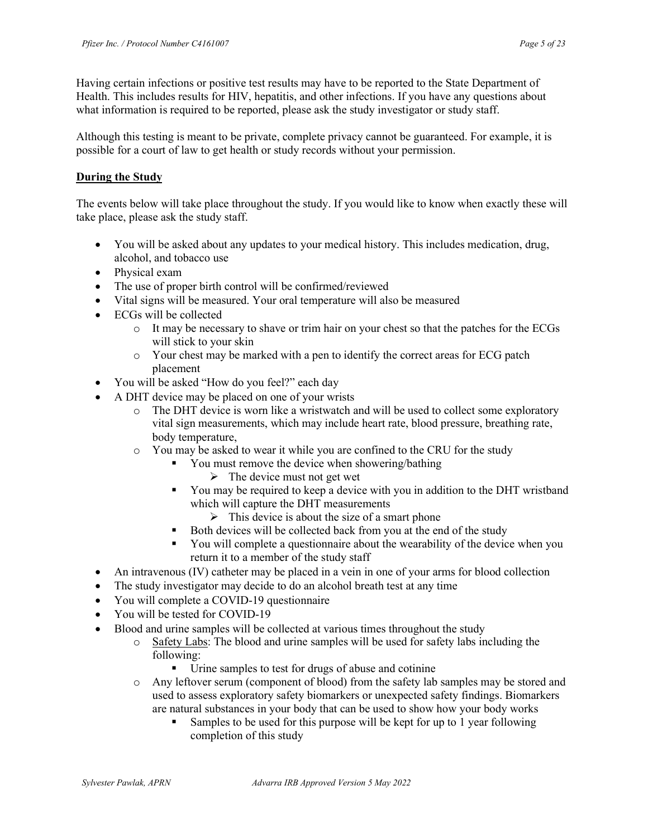Having certain infections or positive test results may have to be reported to the State Department of Health. This includes results for HIV, hepatitis, and other infections. If you have any questions about what information is required to be reported, please ask the study investigator or study staff.

Although this testing is meant to be private, complete privacy cannot be guaranteed. For example, it is possible for a court of law to get health or study records without your permission.

### During the Study

The events below will take place throughout the study. If you would like to know when exactly these will take place, please ask the study staff.

- You will be asked about any updates to your medical history. This includes medication, drug, alcohol, and tobacco use
- Physical exam
- The use of proper birth control will be confirmed/reviewed
- Vital signs will be measured. Your oral temperature will also be measured
- ECGs will be collected
	- o It may be necessary to shave or trim hair on your chest so that the patches for the ECGs will stick to your skin
	- o Your chest may be marked with a pen to identify the correct areas for ECG patch placement
- You will be asked "How do you feel?" each day
- A DHT device may be placed on one of your wrists
	- o The DHT device is worn like a wristwatch and will be used to collect some exploratory vital sign measurements, which may include heart rate, blood pressure, breathing rate, body temperature,
	- o You may be asked to wear it while you are confined to the CRU for the study
		- You must remove the device when showering/bathing
			- $\triangleright$  The device must not get wet
		- You may be required to keep a device with you in addition to the DHT wristband which will capture the DHT measurements
			- $\triangleright$  This device is about the size of a smart phone
		- Both devices will be collected back from you at the end of the study
		- You will complete a questionnaire about the wearability of the device when you return it to a member of the study staff
- An intravenous (IV) catheter may be placed in a vein in one of your arms for blood collection
- The study investigator may decide to do an alcohol breath test at any time
- You will complete a COVID-19 questionnaire
- You will be tested for COVID-19
- Blood and urine samples will be collected at various times throughout the study
	- o Safety Labs: The blood and urine samples will be used for safety labs including the following:
		- Urine samples to test for drugs of abuse and cotinine
	- o Any leftover serum (component of blood) from the safety lab samples may be stored and used to assess exploratory safety biomarkers or unexpected safety findings. Biomarkers are natural substances in your body that can be used to show how your body works
		- Samples to be used for this purpose will be kept for up to 1 year following completion of this study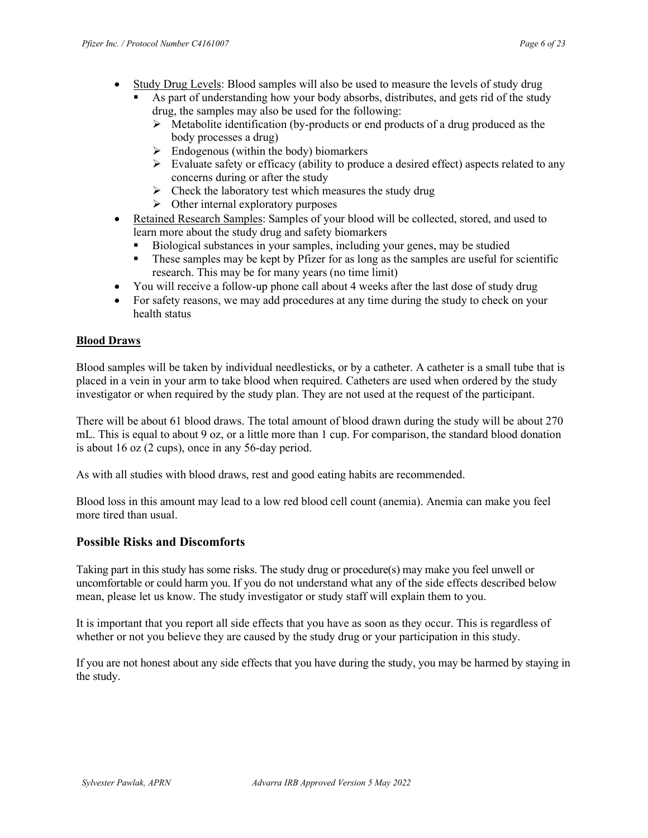- Study Drug Levels: Blood samples will also be used to measure the levels of study drug
	- As part of understanding how your body absorbs, distributes, and gets rid of the study drug, the samples may also be used for the following:
		- $\triangleright$  Metabolite identification (by-products or end products of a drug produced as the body processes a drug)
		- $\triangleright$  Endogenous (within the body) biomarkers
		- $\triangleright$  Evaluate safety or efficacy (ability to produce a desired effect) aspects related to any concerns during or after the study
		- $\triangleright$  Check the laboratory test which measures the study drug
		- $\triangleright$  Other internal exploratory purposes
- Retained Research Samples: Samples of your blood will be collected, stored, and used to learn more about the study drug and safety biomarkers
	- Biological substances in your samples, including your genes, may be studied
	- These samples may be kept by Pfizer for as long as the samples are useful for scientific research. This may be for many years (no time limit)
- You will receive a follow-up phone call about 4 weeks after the last dose of study drug
- For safety reasons, we may add procedures at any time during the study to check on your health status

### Blood Draws

Blood samples will be taken by individual needlesticks, or by a catheter. A catheter is a small tube that is placed in a vein in your arm to take blood when required. Catheters are used when ordered by the study investigator or when required by the study plan. They are not used at the request of the participant.

There will be about 61 blood draws. The total amount of blood drawn during the study will be about 270 mL. This is equal to about 9 oz, or a little more than 1 cup. For comparison, the standard blood donation is about 16 oz (2 cups), once in any 56-day period.

As with all studies with blood draws, rest and good eating habits are recommended.

Blood loss in this amount may lead to a low red blood cell count (anemia). Anemia can make you feel more tired than usual.

## Possible Risks and Discomforts

Taking part in this study has some risks. The study drug or procedure(s) may make you feel unwell or uncomfortable or could harm you. If you do not understand what any of the side effects described below mean, please let us know. The study investigator or study staff will explain them to you.

It is important that you report all side effects that you have as soon as they occur. This is regardless of whether or not you believe they are caused by the study drug or your participation in this study.

If you are not honest about any side effects that you have during the study, you may be harmed by staying in the study.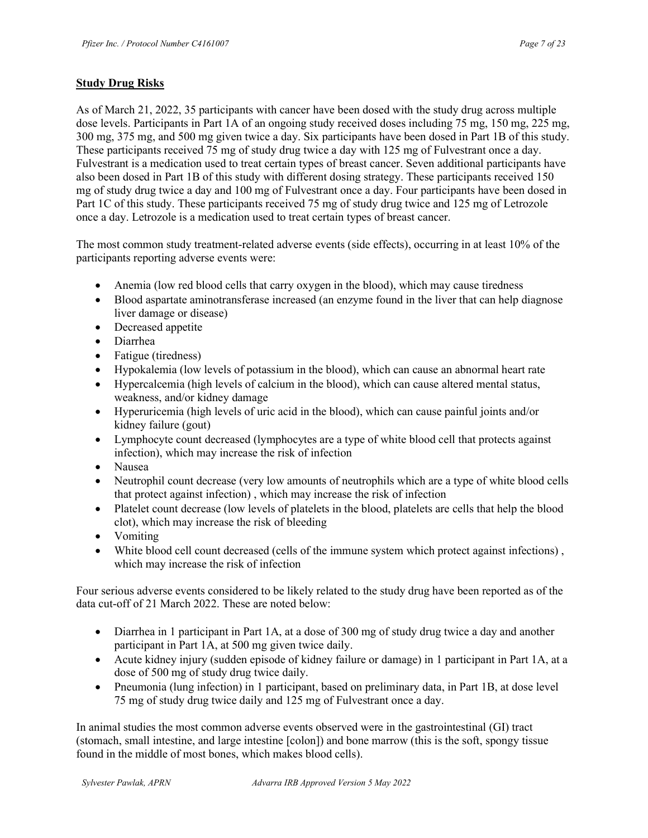### Study Drug Risks

As of March 21, 2022, 35 participants with cancer have been dosed with the study drug across multiple dose levels. Participants in Part 1A of an ongoing study received doses including 75 mg, 150 mg, 225 mg, 300 mg, 375 mg, and 500 mg given twice a day. Six participants have been dosed in Part 1B of this study. These participants received 75 mg of study drug twice a day with 125 mg of Fulvestrant once a day. Fulvestrant is a medication used to treat certain types of breast cancer. Seven additional participants have also been dosed in Part 1B of this study with different dosing strategy. These participants received 150 mg of study drug twice a day and 100 mg of Fulvestrant once a day. Four participants have been dosed in Part 1C of this study. These participants received 75 mg of study drug twice and 125 mg of Letrozole once a day. Letrozole is a medication used to treat certain types of breast cancer.

The most common study treatment-related adverse events (side effects), occurring in at least 10% of the participants reporting adverse events were:

- Anemia (low red blood cells that carry oxygen in the blood), which may cause tiredness
- Blood aspartate aminotransferase increased (an enzyme found in the liver that can help diagnose liver damage or disease)
- Decreased appetite
- Diarrhea
- Fatigue (tiredness)
- Hypokalemia (low levels of potassium in the blood), which can cause an abnormal heart rate
- Hypercalcemia (high levels of calcium in the blood), which can cause altered mental status, weakness, and/or kidney damage
- Hyperuricemia (high levels of uric acid in the blood), which can cause painful joints and/or kidney failure (gout)
- Lymphocyte count decreased (lymphocytes are a type of white blood cell that protects against infection), which may increase the risk of infection
- Nausea
- Neutrophil count decrease (very low amounts of neutrophils which are a type of white blood cells that protect against infection) , which may increase the risk of infection
- Platelet count decrease (low levels of platelets in the blood, platelets are cells that help the blood clot), which may increase the risk of bleeding
- Vomiting
- White blood cell count decreased (cells of the immune system which protect against infections) , which may increase the risk of infection

Four serious adverse events considered to be likely related to the study drug have been reported as of the data cut-off of 21 March 2022. These are noted below:

- Diarrhea in 1 participant in Part 1A, at a dose of 300 mg of study drug twice a day and another participant in Part 1A, at 500 mg given twice daily.
- Acute kidney injury (sudden episode of kidney failure or damage) in 1 participant in Part 1A, at a dose of 500 mg of study drug twice daily.
- Pneumonia (lung infection) in 1 participant, based on preliminary data, in Part 1B, at dose level 75 mg of study drug twice daily and 125 mg of Fulvestrant once a day.

In animal studies the most common adverse events observed were in the gastrointestinal (GI) tract (stomach, small intestine, and large intestine [colon]) and bone marrow (this is the soft, spongy tissue found in the middle of most bones, which makes blood cells).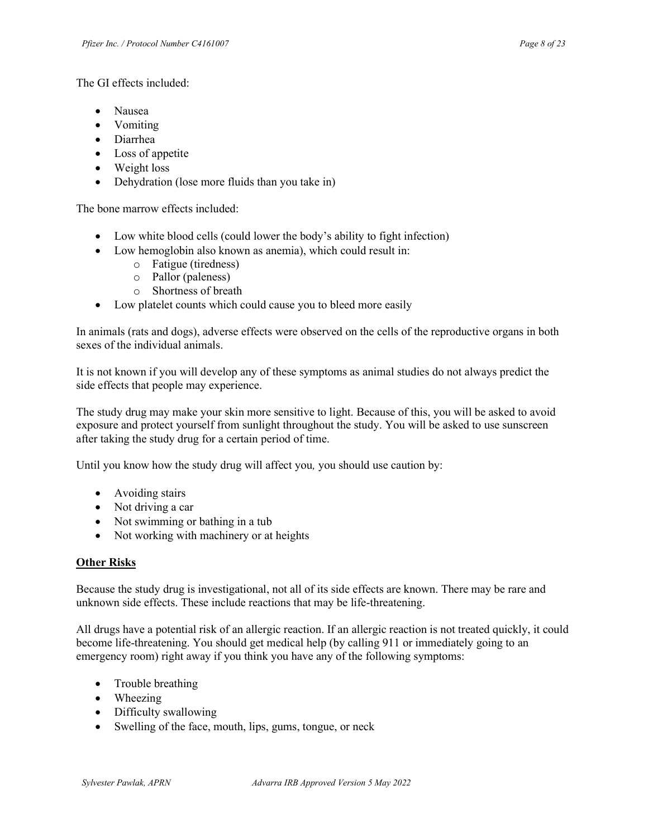The GI effects included:

- Nausea
- Vomiting
- Diarrhea
- Loss of appetite
- Weight loss
- Dehydration (lose more fluids than you take in)

The bone marrow effects included:

- Low white blood cells (could lower the body's ability to fight infection)
- Low hemoglobin also known as anemia), which could result in:
	- o Fatigue (tiredness)
	- o Pallor (paleness)
	- o Shortness of breath
- Low platelet counts which could cause you to bleed more easily

In animals (rats and dogs), adverse effects were observed on the cells of the reproductive organs in both sexes of the individual animals.

It is not known if you will develop any of these symptoms as animal studies do not always predict the side effects that people may experience.

The study drug may make your skin more sensitive to light. Because of this, you will be asked to avoid exposure and protect yourself from sunlight throughout the study. You will be asked to use sunscreen after taking the study drug for a certain period of time.

Until you know how the study drug will affect you, you should use caution by:

- Avoiding stairs
- Not driving a car
- Not swimming or bathing in a tub
- Not working with machinery or at heights

### Other Risks

Because the study drug is investigational, not all of its side effects are known. There may be rare and unknown side effects. These include reactions that may be life-threatening.

All drugs have a potential risk of an allergic reaction. If an allergic reaction is not treated quickly, it could become life-threatening. You should get medical help (by calling 911 or immediately going to an emergency room) right away if you think you have any of the following symptoms:

- Trouble breathing
- Wheezing
- Difficulty swallowing
- Swelling of the face, mouth, lips, gums, tongue, or neck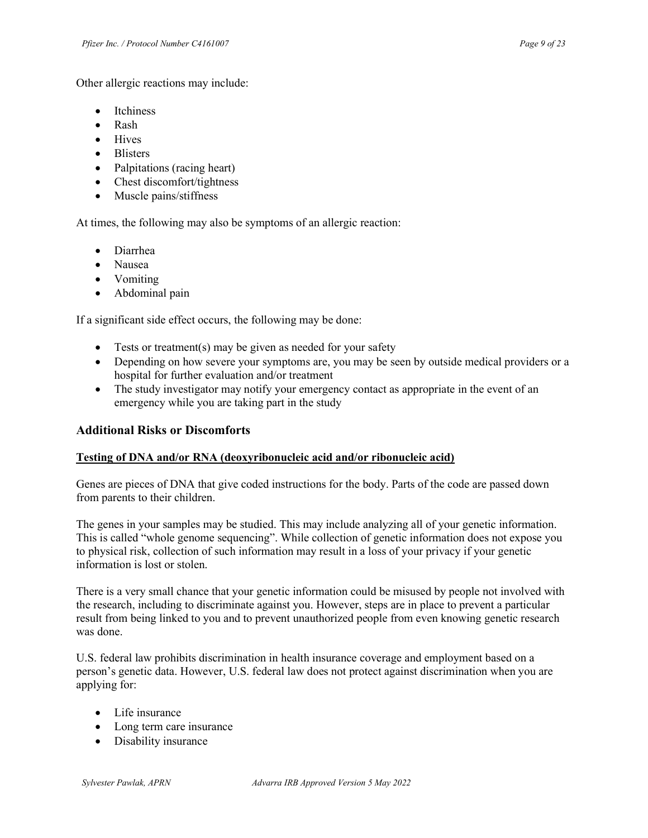Other allergic reactions may include:

- Itchiness
- Rash
- Hives
- Blisters
- Palpitations (racing heart)
- Chest discomfort/tightness
- Muscle pains/stiffness

At times, the following may also be symptoms of an allergic reaction:

- Diarrhea
- Nausea
- Vomiting
- Abdominal pain

If a significant side effect occurs, the following may be done:

- Tests or treatment(s) may be given as needed for your safety
- Depending on how severe your symptoms are, you may be seen by outside medical providers or a hospital for further evaluation and/or treatment
- The study investigator may notify your emergency contact as appropriate in the event of an emergency while you are taking part in the study

## Additional Risks or Discomforts

### Testing of DNA and/or RNA (deoxyribonucleic acid and/or ribonucleic acid)

Genes are pieces of DNA that give coded instructions for the body. Parts of the code are passed down from parents to their children.

The genes in your samples may be studied. This may include analyzing all of your genetic information. This is called "whole genome sequencing". While collection of genetic information does not expose you to physical risk, collection of such information may result in a loss of your privacy if your genetic information is lost or stolen.

There is a very small chance that your genetic information could be misused by people not involved with the research, including to discriminate against you. However, steps are in place to prevent a particular result from being linked to you and to prevent unauthorized people from even knowing genetic research was done.

U.S. federal law prohibits discrimination in health insurance coverage and employment based on a person's genetic data. However, U.S. federal law does not protect against discrimination when you are applying for:

- Life insurance
- Long term care insurance
- Disability insurance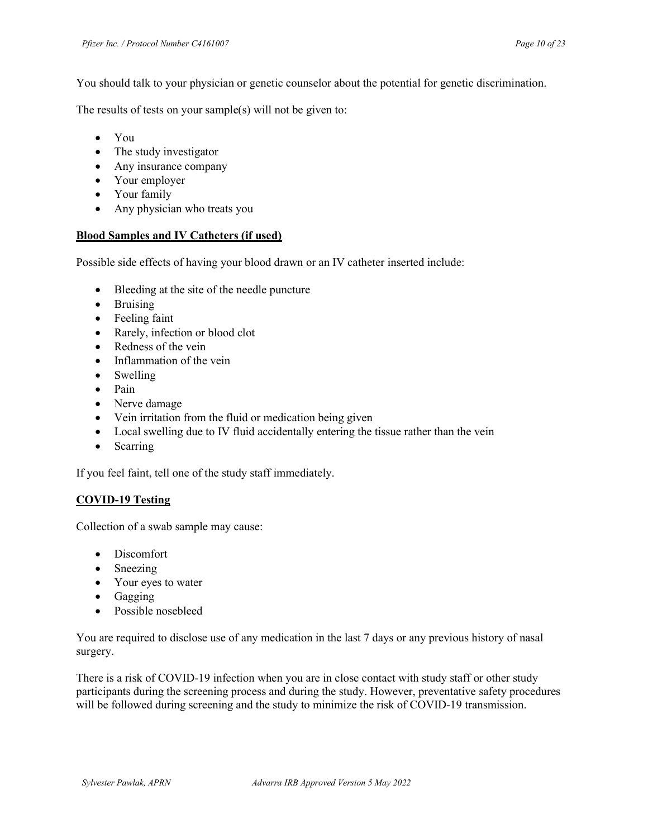You should talk to your physician or genetic counselor about the potential for genetic discrimination.

The results of tests on your sample(s) will not be given to:

- You
- The study investigator
- Any insurance company
- Your employer
- Your family
- Any physician who treats you

### Blood Samples and IV Catheters (if used)

Possible side effects of having your blood drawn or an IV catheter inserted include:

- Bleeding at the site of the needle puncture
- Bruising
- Feeling faint
- Rarely, infection or blood clot
- Redness of the vein
- Inflammation of the vein
- Swelling
- Pain
- Nerve damage
- Vein irritation from the fluid or medication being given
- Local swelling due to IV fluid accidentally entering the tissue rather than the vein
- Scarring

If you feel faint, tell one of the study staff immediately.

### COVID-19 Testing

Collection of a swab sample may cause:

- Discomfort
- Sneezing
- Your eyes to water
- Gagging
- Possible nosebleed

You are required to disclose use of any medication in the last 7 days or any previous history of nasal surgery.

There is a risk of COVID-19 infection when you are in close contact with study staff or other study participants during the screening process and during the study. However, preventative safety procedures will be followed during screening and the study to minimize the risk of COVID-19 transmission.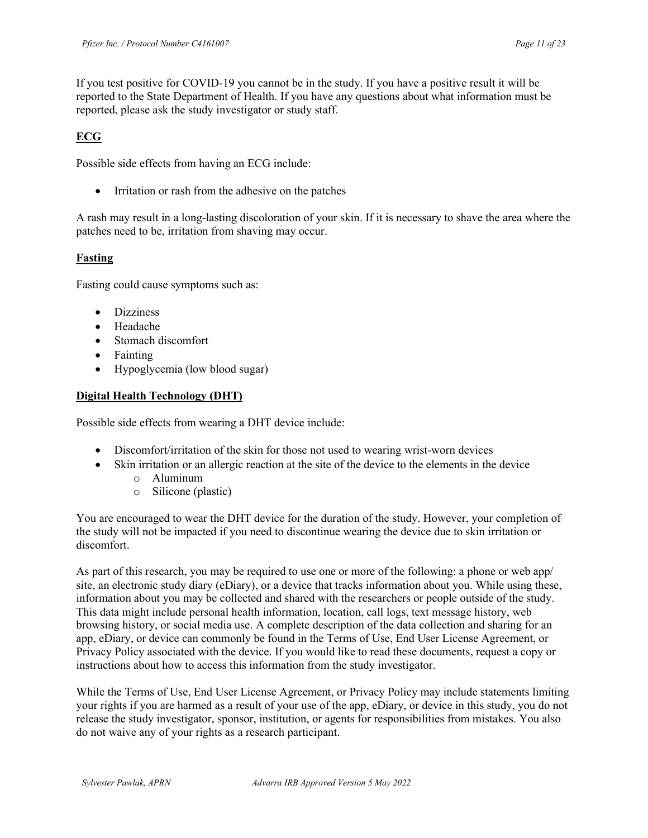If you test positive for COVID-19 you cannot be in the study. If you have a positive result it will be reported to the State Department of Health. If you have any questions about what information must be reported, please ask the study investigator or study staff.

# ECG

Possible side effects from having an ECG include:

• Irritation or rash from the adhesive on the patches

A rash may result in a long-lasting discoloration of your skin. If it is necessary to shave the area where the patches need to be, irritation from shaving may occur.

## Fasting

Fasting could cause symptoms such as:

- Dizziness
- Headache
- Stomach discomfort
- Fainting
- Hypoglycemia (low blood sugar)

## Digital Health Technology (DHT)

Possible side effects from wearing a DHT device include:

- Discomfort/irritation of the skin for those not used to wearing wrist-worn devices
- Skin irritation or an allergic reaction at the site of the device to the elements in the device
	- o Aluminum
	- o Silicone (plastic)

You are encouraged to wear the DHT device for the duration of the study. However, your completion of the study will not be impacted if you need to discontinue wearing the device due to skin irritation or discomfort.

As part of this research, you may be required to use one or more of the following: a phone or web app/ site, an electronic study diary (eDiary), or a device that tracks information about you. While using these, information about you may be collected and shared with the researchers or people outside of the study. This data might include personal health information, location, call logs, text message history, web browsing history, or social media use. A complete description of the data collection and sharing for an app, eDiary, or device can commonly be found in the Terms of Use, End User License Agreement, or Privacy Policy associated with the device. If you would like to read these documents, request a copy or instructions about how to access this information from the study investigator.

While the Terms of Use, End User License Agreement, or Privacy Policy may include statements limiting your rights if you are harmed as a result of your use of the app, eDiary, or device in this study, you do not release the study investigator, sponsor, institution, or agents for responsibilities from mistakes. You also do not waive any of your rights as a research participant.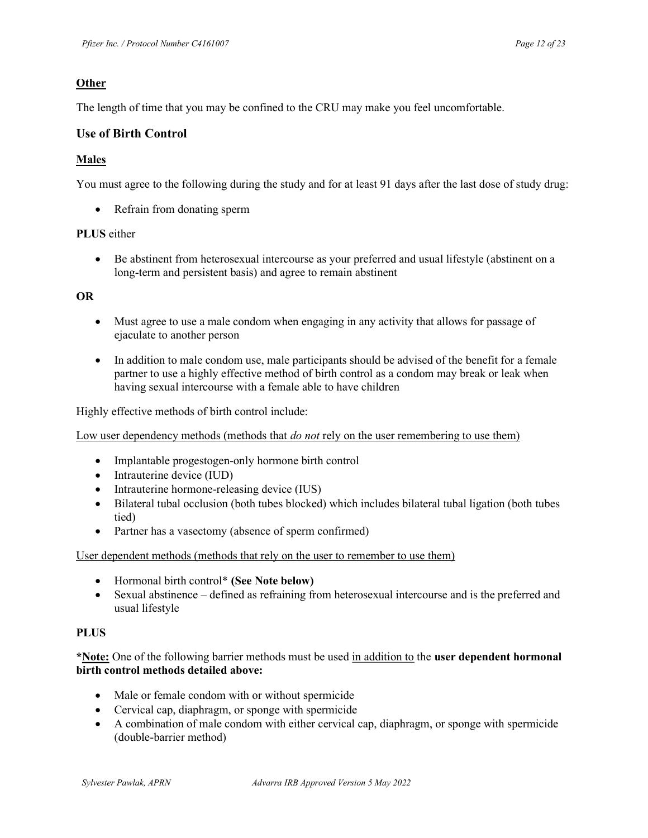### **Other**

The length of time that you may be confined to the CRU may make you feel uncomfortable.

### Use of Birth Control

### Males

You must agree to the following during the study and for at least 91 days after the last dose of study drug:

Refrain from donating sperm

### PLUS either

 Be abstinent from heterosexual intercourse as your preferred and usual lifestyle (abstinent on a long-term and persistent basis) and agree to remain abstinent

#### OR

- Must agree to use a male condom when engaging in any activity that allows for passage of ejaculate to another person
- In addition to male condom use, male participants should be advised of the benefit for a female partner to use a highly effective method of birth control as a condom may break or leak when having sexual intercourse with a female able to have children

Highly effective methods of birth control include:

Low user dependency methods (methods that *do not* rely on the user remembering to use them)

- Implantable progestogen-only hormone birth control
- Intrauterine device (IUD)
- Intrauterine hormone-releasing device (IUS)
- Bilateral tubal occlusion (both tubes blocked) which includes bilateral tubal ligation (both tubes tied)
- Partner has a vasectomy (absence of sperm confirmed)

User dependent methods (methods that rely on the user to remember to use them)

- Hormonal birth control\* (See Note below)
- Sexual abstinence defined as refraining from heterosexual intercourse and is the preferred and usual lifestyle

#### **PLUS**

### \*Note: One of the following barrier methods must be used in addition to the user dependent hormonal birth control methods detailed above:

- Male or female condom with or without spermicide
- Cervical cap, diaphragm, or sponge with spermicide
- A combination of male condom with either cervical cap, diaphragm, or sponge with spermicide (double-barrier method)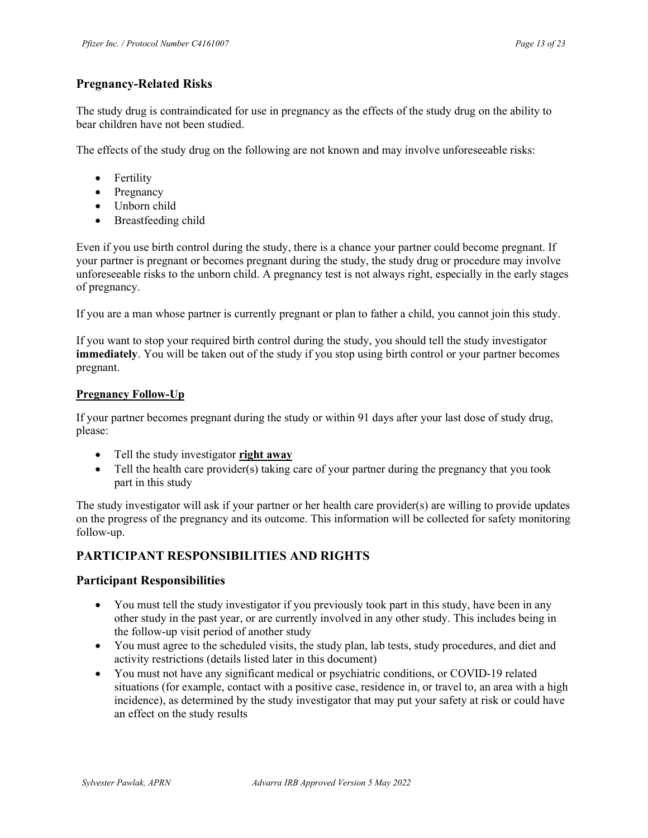## Pregnancy-Related Risks

The study drug is contraindicated for use in pregnancy as the effects of the study drug on the ability to bear children have not been studied.

The effects of the study drug on the following are not known and may involve unforeseeable risks:

- Fertility
- Pregnancy
- Unborn child
- Breastfeeding child

Even if you use birth control during the study, there is a chance your partner could become pregnant. If your partner is pregnant or becomes pregnant during the study, the study drug or procedure may involve unforeseeable risks to the unborn child. A pregnancy test is not always right, especially in the early stages of pregnancy.

If you are a man whose partner is currently pregnant or plan to father a child, you cannot join this study.

If you want to stop your required birth control during the study, you should tell the study investigator immediately. You will be taken out of the study if you stop using birth control or your partner becomes pregnant.

### Pregnancy Follow-Up

If your partner becomes pregnant during the study or within 91 days after your last dose of study drug, please:

- Tell the study investigator right away
- Tell the health care provider(s) taking care of your partner during the pregnancy that you took part in this study

The study investigator will ask if your partner or her health care provider(s) are willing to provide updates on the progress of the pregnancy and its outcome. This information will be collected for safety monitoring follow-up.

## PARTICIPANT RESPONSIBILITIES AND RIGHTS

### Participant Responsibilities

- You must tell the study investigator if you previously took part in this study, have been in any other study in the past year, or are currently involved in any other study. This includes being in the follow-up visit period of another study
- You must agree to the scheduled visits, the study plan, lab tests, study procedures, and diet and activity restrictions (details listed later in this document)
- You must not have any significant medical or psychiatric conditions, or COVID-19 related situations (for example, contact with a positive case, residence in, or travel to, an area with a high incidence), as determined by the study investigator that may put your safety at risk or could have an effect on the study results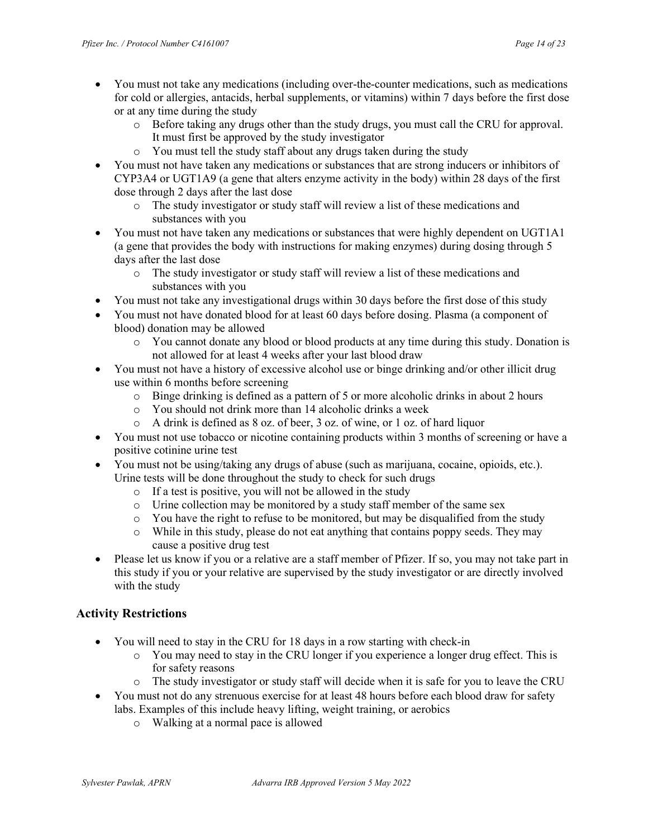- You must not take any medications (including over-the-counter medications, such as medications for cold or allergies, antacids, herbal supplements, or vitamins) within 7 days before the first dose or at any time during the study
	- o Before taking any drugs other than the study drugs, you must call the CRU for approval. It must first be approved by the study investigator
	- o You must tell the study staff about any drugs taken during the study
- You must not have taken any medications or substances that are strong inducers or inhibitors of CYP3A4 or UGT1A9 (a gene that alters enzyme activity in the body) within 28 days of the first dose through 2 days after the last dose
	- o The study investigator or study staff will review a list of these medications and substances with you
- You must not have taken any medications or substances that were highly dependent on UGT1A1 (a gene that provides the body with instructions for making enzymes) during dosing through 5 days after the last dose
	- o The study investigator or study staff will review a list of these medications and substances with you
- You must not take any investigational drugs within 30 days before the first dose of this study
- You must not have donated blood for at least 60 days before dosing. Plasma (a component of blood) donation may be allowed
	- o You cannot donate any blood or blood products at any time during this study. Donation is not allowed for at least 4 weeks after your last blood draw
- You must not have a history of excessive alcohol use or binge drinking and/or other illicit drug use within 6 months before screening
	- o Binge drinking is defined as a pattern of 5 or more alcoholic drinks in about 2 hours
	- o You should not drink more than 14 alcoholic drinks a week
	- o A drink is defined as 8 oz. of beer, 3 oz. of wine, or 1 oz. of hard liquor
- You must not use tobacco or nicotine containing products within 3 months of screening or have a positive cotinine urine test
- You must not be using/taking any drugs of abuse (such as marijuana, cocaine, opioids, etc.). Urine tests will be done throughout the study to check for such drugs
	- o If a test is positive, you will not be allowed in the study
	- o Urine collection may be monitored by a study staff member of the same sex
	- o You have the right to refuse to be monitored, but may be disqualified from the study
	- o While in this study, please do not eat anything that contains poppy seeds. They may cause a positive drug test
- Please let us know if you or a relative are a staff member of Pfizer. If so, you may not take part in this study if you or your relative are supervised by the study investigator or are directly involved with the study

# Activity Restrictions

- You will need to stay in the CRU for 18 days in a row starting with check-in
	- o You may need to stay in the CRU longer if you experience a longer drug effect. This is for safety reasons
	- o The study investigator or study staff will decide when it is safe for you to leave the CRU
- You must not do any strenuous exercise for at least 48 hours before each blood draw for safety labs. Examples of this include heavy lifting, weight training, or aerobics
	- o Walking at a normal pace is allowed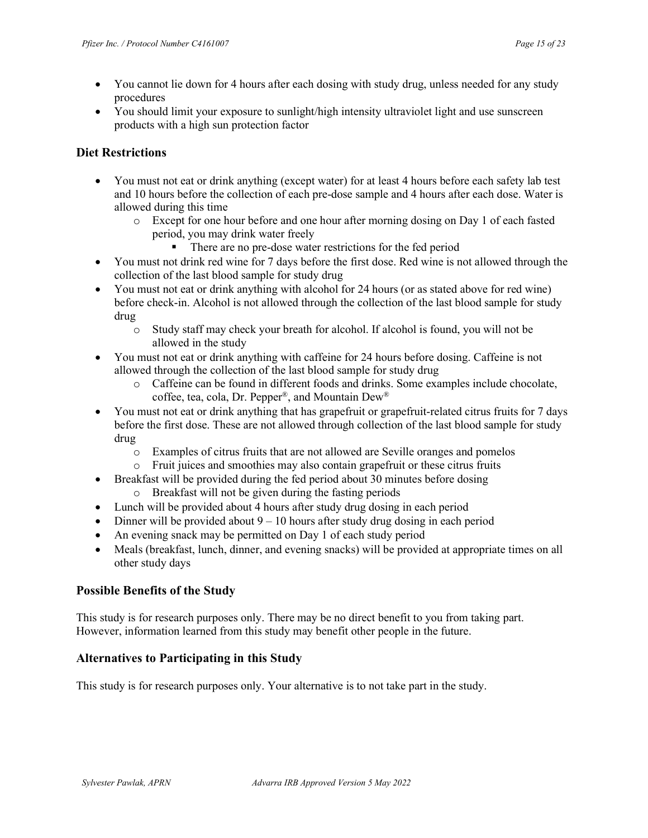- You cannot lie down for 4 hours after each dosing with study drug, unless needed for any study procedures
- You should limit your exposure to sunlight/high intensity ultraviolet light and use sunscreen products with a high sun protection factor

### Diet Restrictions

- You must not eat or drink anything (except water) for at least 4 hours before each safety lab test and 10 hours before the collection of each pre-dose sample and 4 hours after each dose. Water is allowed during this time
	- o Except for one hour before and one hour after morning dosing on Day 1 of each fasted period, you may drink water freely
		- There are no pre-dose water restrictions for the fed period
- You must not drink red wine for 7 days before the first dose. Red wine is not allowed through the collection of the last blood sample for study drug
- You must not eat or drink anything with alcohol for 24 hours (or as stated above for red wine) before check-in. Alcohol is not allowed through the collection of the last blood sample for study drug
	- o Study staff may check your breath for alcohol. If alcohol is found, you will not be allowed in the study
- You must not eat or drink anything with caffeine for 24 hours before dosing. Caffeine is not allowed through the collection of the last blood sample for study drug
	- o Caffeine can be found in different foods and drinks. Some examples include chocolate, coffee, tea, cola, Dr. Pepper® , and Mountain Dew®
- You must not eat or drink anything that has grapefruit or grapefruit-related citrus fruits for 7 days before the first dose. These are not allowed through collection of the last blood sample for study drug
	- o Examples of citrus fruits that are not allowed are Seville oranges and pomelos
	- o Fruit juices and smoothies may also contain grapefruit or these citrus fruits
- Breakfast will be provided during the fed period about 30 minutes before dosing
	- o Breakfast will not be given during the fasting periods
- Lunch will be provided about 4 hours after study drug dosing in each period
- Dinner will be provided about  $9 10$  hours after study drug dosing in each period
- An evening snack may be permitted on Day 1 of each study period
- Meals (breakfast, lunch, dinner, and evening snacks) will be provided at appropriate times on all other study days

## Possible Benefits of the Study

This study is for research purposes only. There may be no direct benefit to you from taking part. However, information learned from this study may benefit other people in the future.

## Alternatives to Participating in this Study

This study is for research purposes only. Your alternative is to not take part in the study.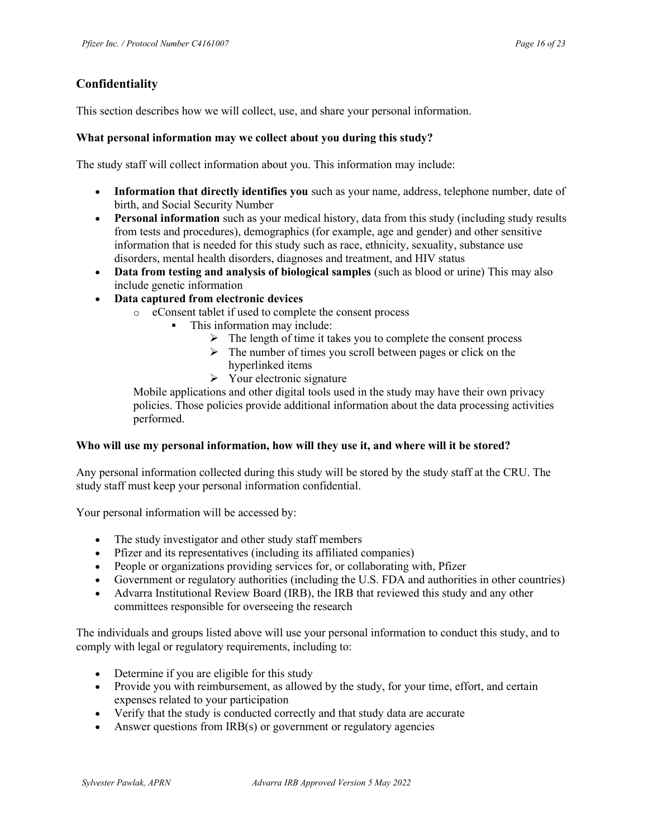# Confidentiality

This section describes how we will collect, use, and share your personal information.

### What personal information may we collect about you during this study?

The study staff will collect information about you. This information may include:

- Information that directly identifies you such as your name, address, telephone number, date of birth, and Social Security Number
- Personal information such as your medical history, data from this study (including study results from tests and procedures), demographics (for example, age and gender) and other sensitive information that is needed for this study such as race, ethnicity, sexuality, substance use disorders, mental health disorders, diagnoses and treatment, and HIV status
- Data from testing and analysis of biological samples (such as blood or urine) This may also include genetic information
- Data captured from electronic devices
	- o eConsent tablet if used to complete the consent process
		- This information may include:
			- $\triangleright$  The length of time it takes you to complete the consent process
			- $\triangleright$  The number of times you scroll between pages or click on the hyperlinked items
			- $\triangleright$  Your electronic signature

Mobile applications and other digital tools used in the study may have their own privacy policies. Those policies provide additional information about the data processing activities performed.

### Who will use my personal information, how will they use it, and where will it be stored?

Any personal information collected during this study will be stored by the study staff at the CRU. The study staff must keep your personal information confidential.

Your personal information will be accessed by:

- The study investigator and other study staff members
- Pfizer and its representatives (including its affiliated companies)
- People or organizations providing services for, or collaborating with, Pfizer
- Government or regulatory authorities (including the U.S. FDA and authorities in other countries)
- Advarra Institutional Review Board (IRB), the IRB that reviewed this study and any other committees responsible for overseeing the research

The individuals and groups listed above will use your personal information to conduct this study, and to comply with legal or regulatory requirements, including to:

- Determine if you are eligible for this study
- Provide you with reimbursement, as allowed by the study, for your time, effort, and certain expenses related to your participation
- Verify that the study is conducted correctly and that study data are accurate
- Answer questions from IRB(s) or government or regulatory agencies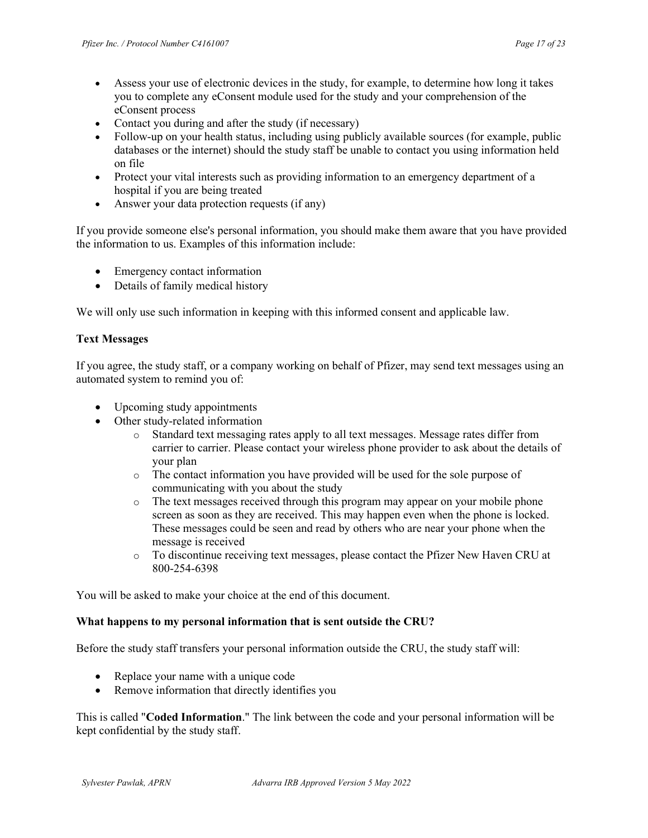- Assess your use of electronic devices in the study, for example, to determine how long it takes you to complete any eConsent module used for the study and your comprehension of the eConsent process
- Contact you during and after the study (if necessary)
- Follow-up on your health status, including using publicly available sources (for example, public databases or the internet) should the study staff be unable to contact you using information held on file
- Protect your vital interests such as providing information to an emergency department of a hospital if you are being treated
- Answer your data protection requests (if any)

If you provide someone else's personal information, you should make them aware that you have provided the information to us. Examples of this information include:

- Emergency contact information
- Details of family medical history

We will only use such information in keeping with this informed consent and applicable law.

### Text Messages

If you agree, the study staff, or a company working on behalf of Pfizer, may send text messages using an automated system to remind you of:

- Upcoming study appointments
- Other study-related information
	- o Standard text messaging rates apply to all text messages. Message rates differ from carrier to carrier. Please contact your wireless phone provider to ask about the details of your plan
	- o The contact information you have provided will be used for the sole purpose of communicating with you about the study
	- o The text messages received through this program may appear on your mobile phone screen as soon as they are received. This may happen even when the phone is locked. These messages could be seen and read by others who are near your phone when the message is received
	- o To discontinue receiving text messages, please contact the Pfizer New Haven CRU at 800-254-6398

You will be asked to make your choice at the end of this document.

### What happens to my personal information that is sent outside the CRU?

Before the study staff transfers your personal information outside the CRU, the study staff will:

- Replace your name with a unique code
- Remove information that directly identifies you

This is called "Coded Information." The link between the code and your personal information will be kept confidential by the study staff.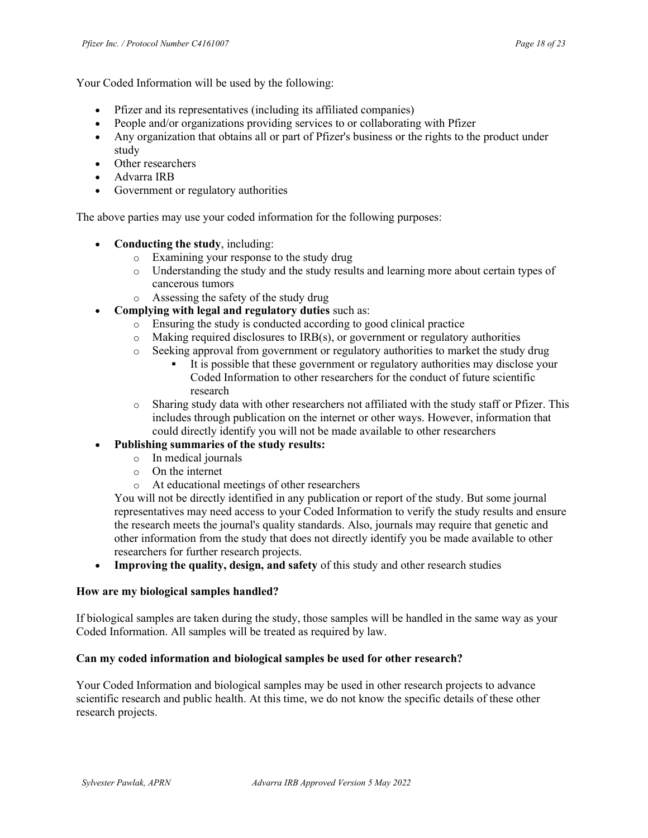Your Coded Information will be used by the following:

- Pfizer and its representatives (including its affiliated companies)
- People and/or organizations providing services to or collaborating with Pfizer
- Any organization that obtains all or part of Pfizer's business or the rights to the product under study
- Other researchers
- Advarra IRB
- Government or regulatory authorities

The above parties may use your coded information for the following purposes:

- Conducting the study, including:
	- o Examining your response to the study drug
	- o Understanding the study and the study results and learning more about certain types of cancerous tumors
	- o Assessing the safety of the study drug
- Complying with legal and regulatory duties such as:
	- o Ensuring the study is conducted according to good clinical practice
	- o Making required disclosures to IRB(s), or government or regulatory authorities
	- $\circ$  Seeking approval from government or regulatory authorities to market the study drug
		- It is possible that these government or regulatory authorities may disclose your Coded Information to other researchers for the conduct of future scientific research
	- $\circ$  Sharing study data with other researchers not affiliated with the study staff or Pfizer. This includes through publication on the internet or other ways. However, information that could directly identify you will not be made available to other researchers

## Publishing summaries of the study results:

- o In medical journals
- o On the internet
- o At educational meetings of other researchers

You will not be directly identified in any publication or report of the study. But some journal representatives may need access to your Coded Information to verify the study results and ensure the research meets the journal's quality standards. Also, journals may require that genetic and other information from the study that does not directly identify you be made available to other researchers for further research projects.

• Improving the quality, design, and safety of this study and other research studies

### How are my biological samples handled?

If biological samples are taken during the study, those samples will be handled in the same way as your Coded Information. All samples will be treated as required by law.

### Can my coded information and biological samples be used for other research?

Your Coded Information and biological samples may be used in other research projects to advance scientific research and public health. At this time, we do not know the specific details of these other research projects.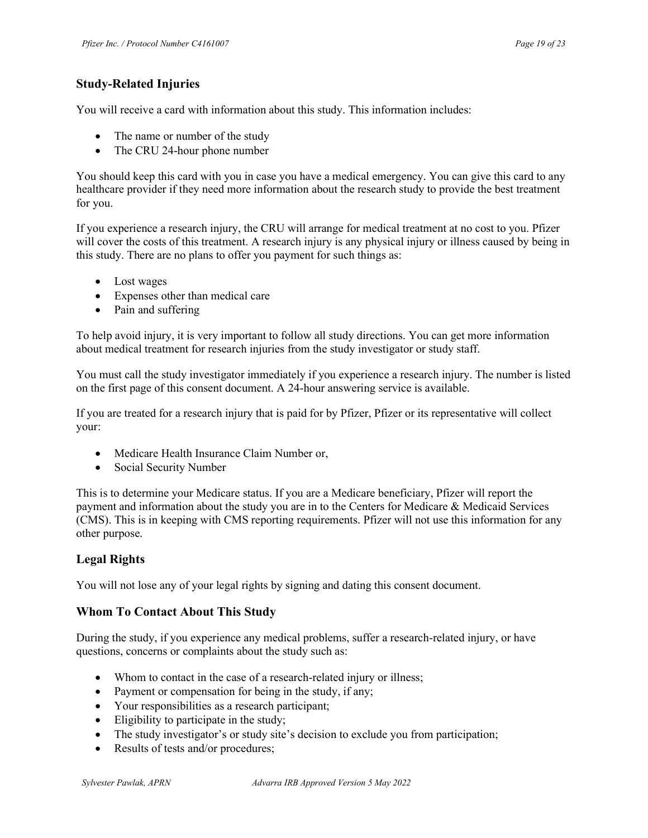# Study-Related Injuries

You will receive a card with information about this study. This information includes:

- The name or number of the study
- The CRU 24-hour phone number

You should keep this card with you in case you have a medical emergency. You can give this card to any healthcare provider if they need more information about the research study to provide the best treatment for you.

If you experience a research injury, the CRU will arrange for medical treatment at no cost to you. Pfizer will cover the costs of this treatment. A research injury is any physical injury or illness caused by being in this study. There are no plans to offer you payment for such things as:

- Lost wages
- Expenses other than medical care
- Pain and suffering

To help avoid injury, it is very important to follow all study directions. You can get more information about medical treatment for research injuries from the study investigator or study staff.

You must call the study investigator immediately if you experience a research injury. The number is listed on the first page of this consent document. A 24-hour answering service is available.

If you are treated for a research injury that is paid for by Pfizer, Pfizer or its representative will collect your:

- Medicare Health Insurance Claim Number or,
- Social Security Number

This is to determine your Medicare status. If you are a Medicare beneficiary, Pfizer will report the payment and information about the study you are in to the Centers for Medicare & Medicaid Services (CMS). This is in keeping with CMS reporting requirements. Pfizer will not use this information for any other purpose.

## Legal Rights

You will not lose any of your legal rights by signing and dating this consent document.

## Whom To Contact About This Study

During the study, if you experience any medical problems, suffer a research-related injury, or have questions, concerns or complaints about the study such as:

- Whom to contact in the case of a research-related injury or illness;
- Payment or compensation for being in the study, if any;
- Your responsibilities as a research participant;
- Eligibility to participate in the study;
- The study investigator's or study site's decision to exclude you from participation;
- Results of tests and/or procedures;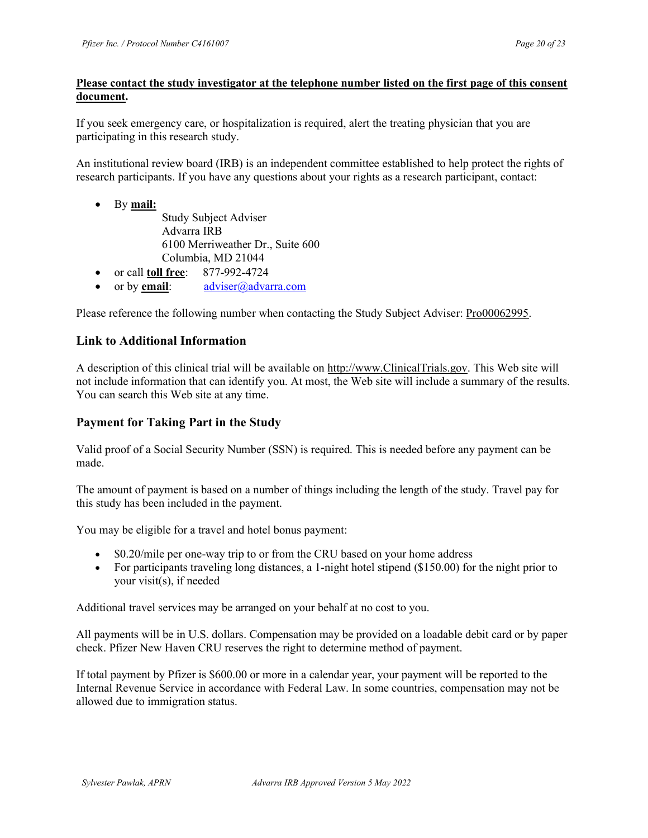### Please contact the study investigator at the telephone number listed on the first page of this consent document.

If you seek emergency care, or hospitalization is required, alert the treating physician that you are participating in this research study.

An institutional review board (IRB) is an independent committee established to help protect the rights of research participants. If you have any questions about your rights as a research participant, contact:

- By mail: Study Subject Adviser Advarra IRB 6100 Merriweather Dr., Suite 600 Columbia, MD 21044
- or call **toll free**: 877-992-4724
- or by email:  $\qquad \qquad \text{adviser}(\partial)$  advarra.com

Please reference the following number when contacting the Study Subject Adviser: Pro00062995.

## Link to Additional Information

A description of this clinical trial will be available on http://www.ClinicalTrials.gov. This Web site will not include information that can identify you. At most, the Web site will include a summary of the results. You can search this Web site at any time.

## Payment for Taking Part in the Study

Valid proof of a Social Security Number (SSN) is required. This is needed before any payment can be made.

The amount of payment is based on a number of things including the length of the study. Travel pay for this study has been included in the payment.

You may be eligible for a travel and hotel bonus payment:

- \$0.20/mile per one-way trip to or from the CRU based on your home address
- For participants traveling long distances, a 1-night hotel stipend (\$150.00) for the night prior to your visit(s), if needed

Additional travel services may be arranged on your behalf at no cost to you.

All payments will be in U.S. dollars. Compensation may be provided on a loadable debit card or by paper check. Pfizer New Haven CRU reserves the right to determine method of payment.

If total payment by Pfizer is \$600.00 or more in a calendar year, your payment will be reported to the Internal Revenue Service in accordance with Federal Law. In some countries, compensation may not be allowed due to immigration status.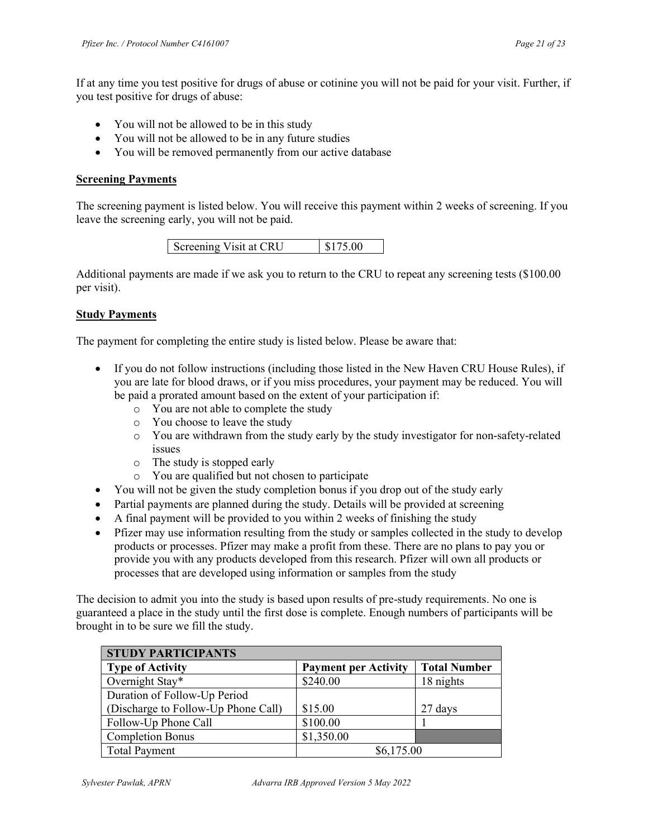If at any time you test positive for drugs of abuse or cotinine you will not be paid for your visit. Further, if you test positive for drugs of abuse:

- You will not be allowed to be in this study
- You will not be allowed to be in any future studies
- You will be removed permanently from our active database

#### Screening Payments

The screening payment is listed below. You will receive this payment within 2 weeks of screening. If you leave the screening early, you will not be paid.

| \$175.00<br>Screening Visit at CRU |
|------------------------------------|
|------------------------------------|

Additional payments are made if we ask you to return to the CRU to repeat any screening tests (\$100.00 per visit).

### **Study Payments**

The payment for completing the entire study is listed below. Please be aware that:

- If you do not follow instructions (including those listed in the New Haven CRU House Rules), if you are late for blood draws, or if you miss procedures, your payment may be reduced. You will be paid a prorated amount based on the extent of your participation if:
	- o You are not able to complete the study
	- o You choose to leave the study
	- o You are withdrawn from the study early by the study investigator for non-safety-related issues
	- o The study is stopped early
	- o You are qualified but not chosen to participate
- You will not be given the study completion bonus if you drop out of the study early
- Partial payments are planned during the study. Details will be provided at screening
- A final payment will be provided to you within 2 weeks of finishing the study
- Pfizer may use information resulting from the study or samples collected in the study to develop products or processes. Pfizer may make a profit from these. There are no plans to pay you or provide you with any products developed from this research. Pfizer will own all products or processes that are developed using information or samples from the study

The decision to admit you into the study is based upon results of pre-study requirements. No one is guaranteed a place in the study until the first dose is complete. Enough numbers of participants will be brought in to be sure we fill the study.

| <b>STUDY PARTICIPANTS</b>           |                             |                     |  |
|-------------------------------------|-----------------------------|---------------------|--|
| <b>Type of Activity</b>             | <b>Payment per Activity</b> | <b>Total Number</b> |  |
| Overnight Stay*                     | \$240.00                    | 18 nights           |  |
| Duration of Follow-Up Period        |                             |                     |  |
| (Discharge to Follow-Up Phone Call) | \$15.00                     | 27 days             |  |
| Follow-Up Phone Call                | \$100.00                    |                     |  |
| <b>Completion Bonus</b>             | \$1,350.00                  |                     |  |
| <b>Total Payment</b>                | \$6,175.00                  |                     |  |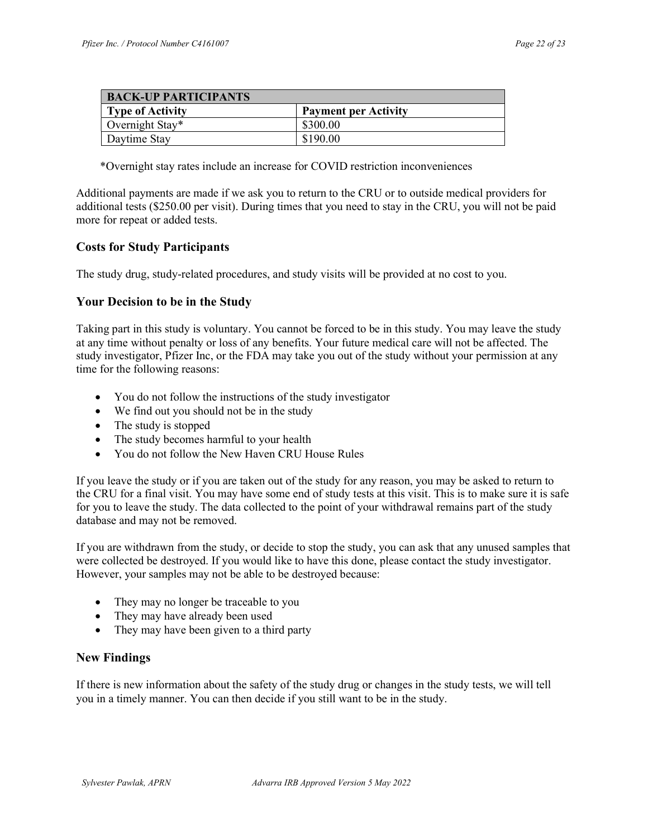| <b>BACK-UP PARTICIPANTS</b> |                             |  |
|-----------------------------|-----------------------------|--|
| <b>Type of Activity</b>     | <b>Payment per Activity</b> |  |
| Overnight Stay*             | \$300.00                    |  |
| Daytime Stay                | \$190.00                    |  |

\*Overnight stay rates include an increase for COVID restriction inconveniences

Additional payments are made if we ask you to return to the CRU or to outside medical providers for additional tests (\$250.00 per visit). During times that you need to stay in the CRU, you will not be paid more for repeat or added tests.

### Costs for Study Participants

The study drug, study-related procedures, and study visits will be provided at no cost to you.

### Your Decision to be in the Study

Taking part in this study is voluntary. You cannot be forced to be in this study. You may leave the study at any time without penalty or loss of any benefits. Your future medical care will not be affected. The study investigator, Pfizer Inc, or the FDA may take you out of the study without your permission at any time for the following reasons:

- You do not follow the instructions of the study investigator
- We find out you should not be in the study
- The study is stopped
- The study becomes harmful to your health
- You do not follow the New Haven CRU House Rules

If you leave the study or if you are taken out of the study for any reason, you may be asked to return to the CRU for a final visit. You may have some end of study tests at this visit. This is to make sure it is safe for you to leave the study. The data collected to the point of your withdrawal remains part of the study database and may not be removed.

If you are withdrawn from the study, or decide to stop the study, you can ask that any unused samples that were collected be destroyed. If you would like to have this done, please contact the study investigator. However, your samples may not be able to be destroyed because:

- They may no longer be traceable to you
- They may have already been used
- They may have been given to a third party

### New Findings

If there is new information about the safety of the study drug or changes in the study tests, we will tell you in a timely manner. You can then decide if you still want to be in the study.